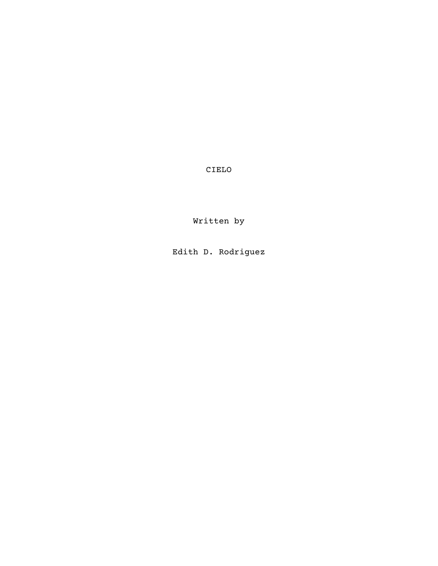CIELO

Written by

Edith D. Rodriguez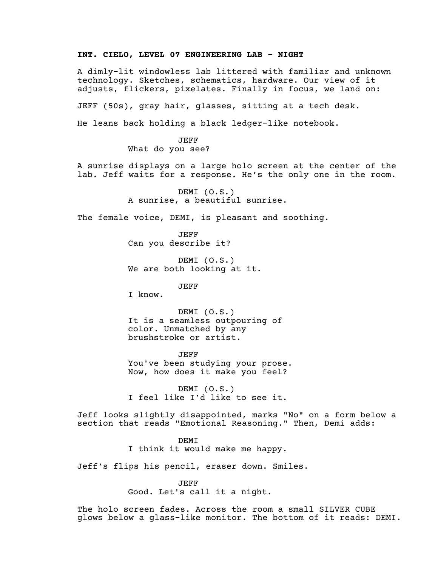## **INT. CIELO, LEVEL 07 ENGINEERING LAB - NIGHT**

A dimly-lit windowless lab littered with familiar and unknown technology. Sketches, schematics, hardware. Our view of it adjusts, flickers, pixelates. Finally in focus, we land on:

JEFF (50s), gray hair, glasses, sitting at a tech desk.

He leans back holding a black ledger-like notebook.

JEFF What do you see?

A sunrise displays on a large holo screen at the center of the lab. Jeff waits for a response. He's the only one in the room.

> DEMI (O.S.) A sunrise, a beautiful sunrise.

The female voice, DEMI, is pleasant and soothing.

JEFF Can you describe it?

DEMI (O.S.) We are both looking at it.

JEFF

I know.

DEMI (O.S.) It is a seamless outpouring of color. Unmatched by any brushstroke or artist.

JEFF You've been studying your prose. Now, how does it make you feel?

DEMI (O.S.) I feel like I'd like to see it.

Jeff looks slightly disappointed, marks "No" on a form below a section that reads "Emotional Reasoning." Then, Demi adds:

> DEMI I think it would make me happy.

Jeff's flips his pencil, eraser down. Smiles.

JEFF

Good. Let's call it a night.

The holo screen fades. Across the room a small SILVER CUBE glows below a glass-like monitor. The bottom of it reads: DEMI.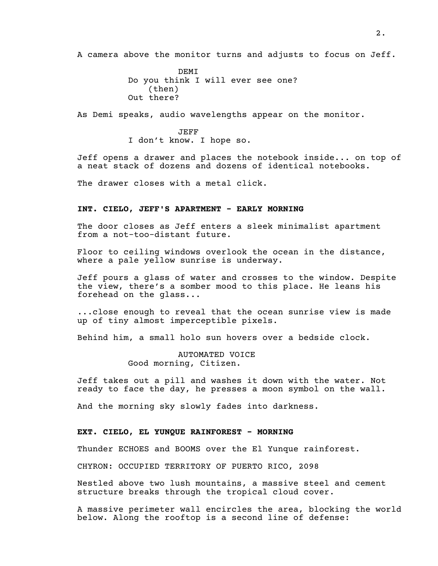A camera above the monitor turns and adjusts to focus on Jeff.

DEMI Do you think I will ever see one? (then) Out there?

As Demi speaks, audio wavelengths appear on the monitor.

JEFF I don't know. I hope so.

Jeff opens a drawer and places the notebook inside... on top of a neat stack of dozens and dozens of identical notebooks.

The drawer closes with a metal click.

## **INT. CIELO, JEFF'S APARTMENT - EARLY MORNING**

The door closes as Jeff enters a sleek minimalist apartment from a not-too-distant future.

Floor to ceiling windows overlook the ocean in the distance, where a pale yellow sunrise is underway.

Jeff pours a glass of water and crosses to the window. Despite the view, there's a somber mood to this place. He leans his forehead on the glass...

...close enough to reveal that the ocean sunrise view is made up of tiny almost imperceptible pixels.

Behind him, a small holo sun hovers over a bedside clock.

AUTOMATED VOICE Good morning, Citizen.

Jeff takes out a pill and washes it down with the water. Not ready to face the day, he presses a moon symbol on the wall.

And the morning sky slowly fades into darkness.

## **EXT. CIELO, EL YUNQUE RAINFOREST - MORNING**

Thunder ECHOES and BOOMS over the El Yunque rainforest.

CHYRON: OCCUPIED TERRITORY OF PUERTO RICO, 2098

Nestled above two lush mountains, a massive steel and cement structure breaks through the tropical cloud cover.

A massive perimeter wall encircles the area, blocking the world below. Along the rooftop is a second line of defense: